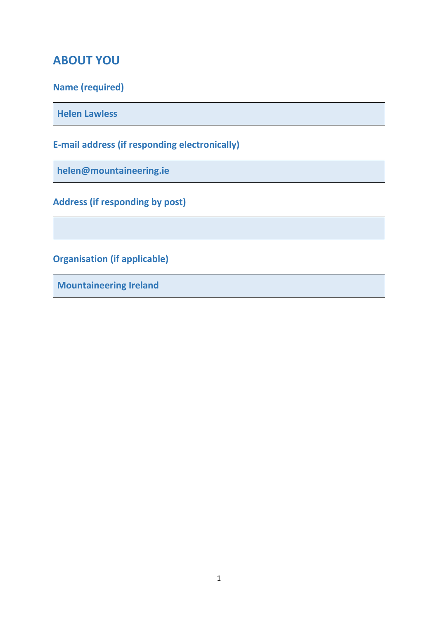# **ABOUT YOU**

# **Name (required)**

**Helen Lawless**

**E-mail address (if responding electronically)**

**helen@mountaineering.ie**

**Address (if responding by post)**

**Organisation (if applicable)**

**Mountaineering Ireland**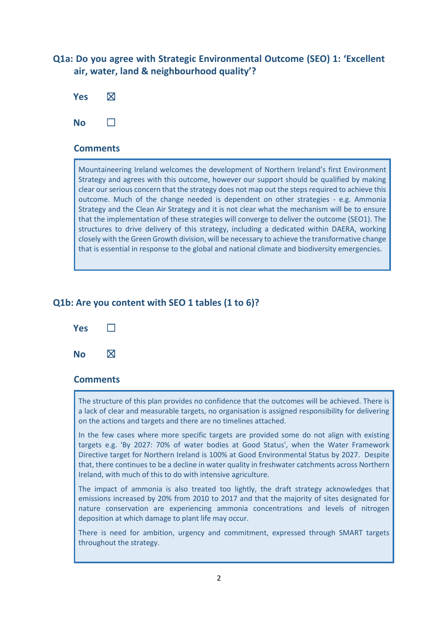## **Q1a: Do you agree with Strategic Environmental Outcome (SEO) 1: 'Excellent air, water, land & neighbourhood quality'?**



### **Comments**

Mountaineering Ireland welcomes the development of Northern Ireland's first Environment Strategy and agrees with this outcome, however our support should be qualified by making clear our serious concern that the strategy does not map out the steps required to achieve this outcome. Much of the change needed is dependent on other strategies - e.g. Ammonia Strategy and the Clean Air Strategy and it is not clear what the mechanism will be to ensure that the implementation of these strategies will converge to deliver the outcome (SEO1). The structures to drive delivery of this strategy, including a dedicated within DAERA, working closely with the Green Growth division, will be necessary to achieve the transformative change that is essential in response to the global and national climate and biodiversity emergencies.

## **Q1b: Are you content with SEO 1 tables (1 to 6)?**



### **Comments**

The structure of this plan provides no confidence that the outcomes will be achieved. There is a lack of clear and measurable targets, no organisation is assigned responsibility for delivering on the actions and targets and there are no timelines attached.

In the few cases where more specific targets are provided some do not align with existing targets e.g. 'By 2027: 70% of water bodies at Good Status', when the Water Framework Directive target for Northern Ireland is 100% at Good Environmental Status by 2027. Despite that, there continues to be a decline in water quality in freshwater catchments across Northern Ireland, with much of this to do with intensive agriculture.

The impact of ammonia is also treated too lightly, the draft strategy acknowledges that emissions increased by 20% from 2010 to 2017 and that the majority of sites designated for nature conservation are experiencing ammonia concentrations and levels of nitrogen deposition at which damage to plant life may occur.

There is need for ambition, urgency and commitment, expressed through SMART targets throughout the strategy.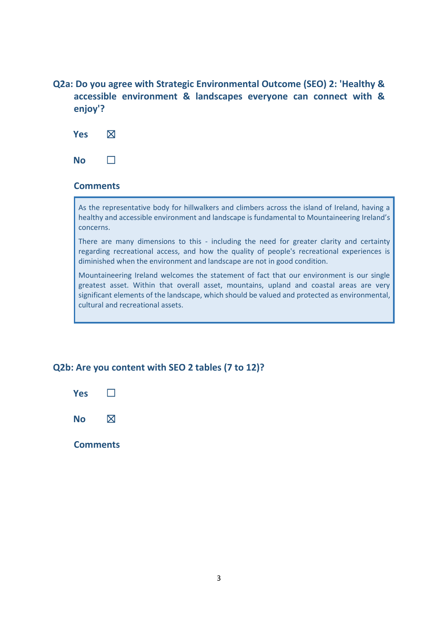**Q2a: Do you agree with Strategic Environmental Outcome (SEO) 2: 'Healthy & accessible environment & landscapes everyone can connect with & enjoy'?**



**No** □

## **Comments**

As the representative body for hillwalkers and climbers across the island of Ireland, having a healthy and accessible environment and landscape is fundamental to Mountaineering Ireland's concerns.

There are many dimensions to this - including the need for greater clarity and certainty regarding recreational access, and how the quality of people's recreational experiences is diminished when the environment and landscape are not in good condition.

Mountaineering Ireland welcomes the statement of fact that our environment is our single greatest asset. Within that overall asset, mountains, upland and coastal areas are very significant elements of the landscape, which should be valued and protected as environmental, cultural and recreational assets.

## **Q2b: Are you content with SEO 2 tables (7 to 12)?**



**Comments**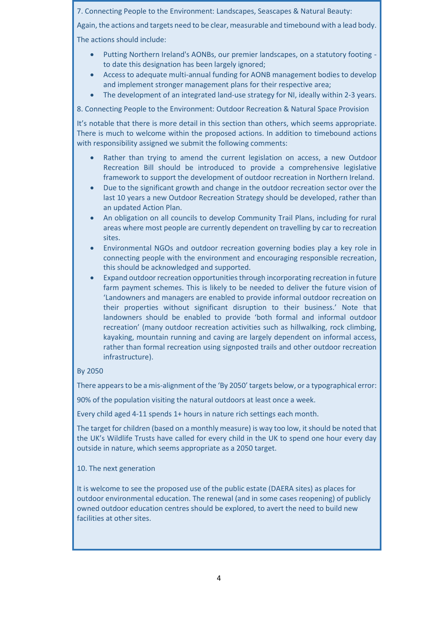7. Connecting People to the Environment: Landscapes, Seascapes & Natural Beauty:

Again, the actions and targets need to be clear, measurable and timebound with a lead body. The actions should include:

- Putting Northern Ireland's AONBs, our premier landscapes, on a statutory footing to date this designation has been largely ignored;
- Access to adequate multi-annual funding for AONB management bodies to develop and implement stronger management plans for their respective area;
- The development of an integrated land-use strategy for NI, ideally within 2-3 years.

8. Connecting People to the Environment: Outdoor Recreation & Natural Space Provision

It's notable that there is more detail in this section than others, which seems appropriate. There is much to welcome within the proposed actions. In addition to timebound actions with responsibility assigned we submit the following comments:

- Rather than trying to amend the current legislation on access, a new Outdoor Recreation Bill should be introduced to provide a comprehensive legislative framework to support the development of outdoor recreation in Northern Ireland.
- Due to the significant growth and change in the outdoor recreation sector over the last 10 years a new Outdoor Recreation Strategy should be developed, rather than an updated Action Plan.
- An obligation on all councils to develop Community Trail Plans, including for rural areas where most people are currently dependent on travelling by car to recreation sites.
- Environmental NGOs and outdoor recreation governing bodies play a key role in connecting people with the environment and encouraging responsible recreation, this should be acknowledged and supported.
- Expand outdoor recreation opportunities through incorporating recreation in future farm payment schemes. This is likely to be needed to deliver the future vision of 'Landowners and managers are enabled to provide informal outdoor recreation on their properties without significant disruption to their business.' Note that landowners should be enabled to provide 'both formal and informal outdoor recreation' (many outdoor recreation activities such as hillwalking, rock climbing, kayaking, mountain running and caving are largely dependent on informal access, rather than formal recreation using signposted trails and other outdoor recreation infrastructure).

#### By 2050

There appears to be a mis-alignment of the 'By 2050' targets below, or a typographical error:

90% of the population visiting the natural outdoors at least once a week.

Every child aged 4-11 spends 1+ hours in nature rich settings each month.

The target for children (based on a monthly measure) is way too low, it should be noted that the UK's Wildlife Trusts have called for every child in the UK to spend one hour every day outside in nature, which seems appropriate as a 2050 target.

10. The next generation

It is welcome to see the proposed use of the public estate (DAERA sites) as places for outdoor environmental education. The renewal (and in some cases reopening) of publicly owned outdoor education centres should be explored, to avert the need to build new facilities at other sites.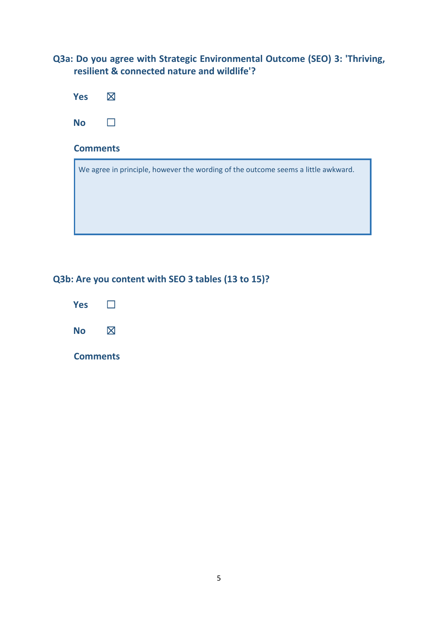**Q3a: Do you agree with Strategic Environmental Outcome (SEO) 3: 'Thriving, resilient & connected nature and wildlife'?**

| <b>Yes</b>      | $\boxtimes$                                                                       |  |  |  |  |  |  |
|-----------------|-----------------------------------------------------------------------------------|--|--|--|--|--|--|
| <b>No</b>       |                                                                                   |  |  |  |  |  |  |
| <b>Comments</b> |                                                                                   |  |  |  |  |  |  |
|                 | We agree in principle, however the wording of the outcome seems a little awkward. |  |  |  |  |  |  |

# **Q3b: Are you content with SEO 3 tables (13 to 15)?**

| <b>Yes</b> |             |
|------------|-------------|
| No         | $\boxtimes$ |

**Comments**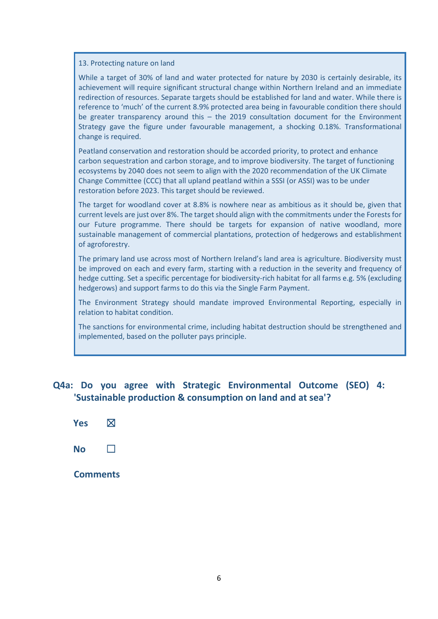13. Protecting nature on land

While a target of 30% of land and water protected for nature by 2030 is certainly desirable, its achievement will require significant structural change within Northern Ireland and an immediate redirection of resources. Separate targets should be established for land and water. While there is reference to 'much' of the current 8.9% protected area being in favourable condition there should be greater transparency around this – the 2019 consultation document for the Environment Strategy gave the figure under favourable management, a shocking 0.18%. Transformational change is required.

Peatland conservation and restoration should be accorded priority, to protect and enhance carbon sequestration and carbon storage, and to improve biodiversity. The target of functioning ecosystems by 2040 does not seem to align with the 2020 recommendation of the UK Climate Change Committee (CCC) that all upland peatland within a SSSI (or ASSI) was to be under restoration before 2023. This target should be reviewed.

The target for woodland cover at 8.8% is nowhere near as ambitious as it should be, given that current levels are just over 8%. The target should align with the commitments under the Forests for our Future programme. There should be targets for expansion of native woodland, more sustainable management of commercial plantations, protection of hedgerows and establishment of agroforestry.

The primary land use across most of Northern Ireland's land area is agriculture. Biodiversity must be improved on each and every farm, starting with a reduction in the severity and frequency of hedge cutting. Set a specific percentage for biodiversity-rich habitat for all farms e.g. 5% (excluding hedgerows) and support farms to do this via the Single Farm Payment.

The Environment Strategy should mandate improved Environmental Reporting, especially in relation to habitat condition.

The sanctions for environmental crime, including habitat destruction should be strengthened and implemented, based on the polluter pays principle.

## **Q4a: Do you agree with Strategic Environmental Outcome (SEO) 4: 'Sustainable production & consumption on land and at sea'?**

| <b>Yes</b>      | $\boxtimes$  |
|-----------------|--------------|
| <b>No</b>       | $\mathsf{L}$ |
| <b>Comments</b> |              |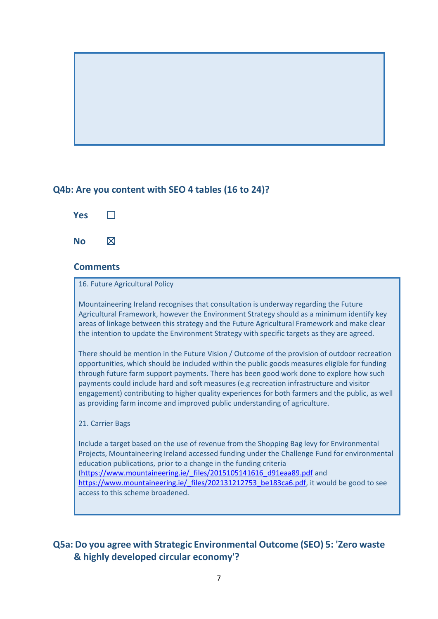## **Q4b: Are you content with SEO 4 tables (16 to 24)?**



### **Comments**

#### 16. Future Agricultural Policy

Mountaineering Ireland recognises that consultation is underway regarding the Future Agricultural Framework, however the Environment Strategy should as a minimum identify key areas of linkage between this strategy and the Future Agricultural Framework and make clear the intention to update the Environment Strategy with specific targets as they are agreed.

There should be mention in the Future Vision / Outcome of the provision of outdoor recreation opportunities, which should be included within the public goods measures eligible for funding through future farm support payments. There has been good work done to explore how such payments could include hard and soft measures (e.g recreation infrastructure and visitor engagement) contributing to higher quality experiences for both farmers and the public, as well as providing farm income and improved public understanding of agriculture.

#### 21. Carrier Bags

Include a target based on the use of revenue from the Shopping Bag levy for Environmental Projects, Mountaineering Ireland accessed funding under the Challenge Fund for environmental education publications, prior to a change in the funding criteria [\(https://www.mountaineering.ie/\\_files/2015105141616\\_d91eaa89.pdf](https://www.mountaineering.ie/_files/2015105141616_d91eaa89.pdf) and [https://www.mountaineering.ie/\\_files/202131212753\\_be183ca6.pdf,](https://www.mountaineering.ie/_files/202131212753_be183ca6.pdf) it would be good to see access to this scheme broadened.

## **Q5a: Do you agree with Strategic Environmental Outcome (SEO) 5: 'Zero waste & highly developed circular economy'?**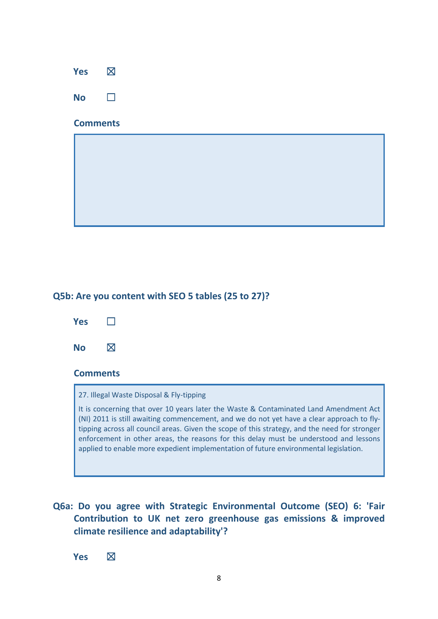# **Yes** ☒ **No** □

### **Comments**

## **Q5b: Are you content with SEO 5 tables (25 to 27)?**



### **Comments**

27. Illegal Waste Disposal & Fly-tipping

It is concerning that over 10 years later the Waste & Contaminated Land Amendment Act (NI) 2011 is still awaiting commencement, and we do not yet have a clear approach to flytipping across all council areas. Given the scope of this strategy, and the need for stronger enforcement in other areas, the reasons for this delay must be understood and lessons applied to enable more expedient implementation of future environmental legislation.

## **Q6a: Do you agree with Strategic Environmental Outcome (SEO) 6: 'Fair Contribution to UK net zero greenhouse gas emissions & improved climate resilience and adaptability'?**

**Yes** ☒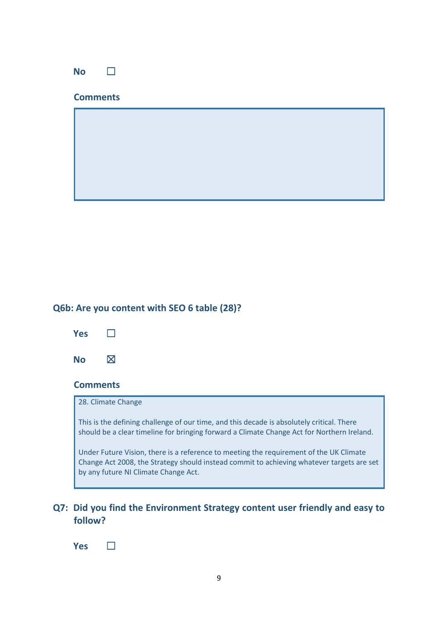|                 | <b>No</b> | $\mathcal{L}$ |  |  |  |  |  |  |  |  |  |
|-----------------|-----------|---------------|--|--|--|--|--|--|--|--|--|
| <b>Comments</b> |           |               |  |  |  |  |  |  |  |  |  |
|                 |           |               |  |  |  |  |  |  |  |  |  |
|                 |           |               |  |  |  |  |  |  |  |  |  |
|                 |           |               |  |  |  |  |  |  |  |  |  |
|                 |           |               |  |  |  |  |  |  |  |  |  |

## **Q6b: Are you content with SEO 6 table (28)?**



## **Comments**

#### 28. Climate Change

This is the defining challenge of our time, and this decade is absolutely critical. There should be a clear timeline for bringing forward a Climate Change Act for Northern Ireland.

Under Future Vision, there is a reference to meeting the requirement of the UK Climate Change Act 2008, the Strategy should instead commit to achieving whatever targets are set by any future NI Climate Change Act.

## **Q7: Did you find the Environment Strategy content user friendly and easy to follow?**

**Yes** ☐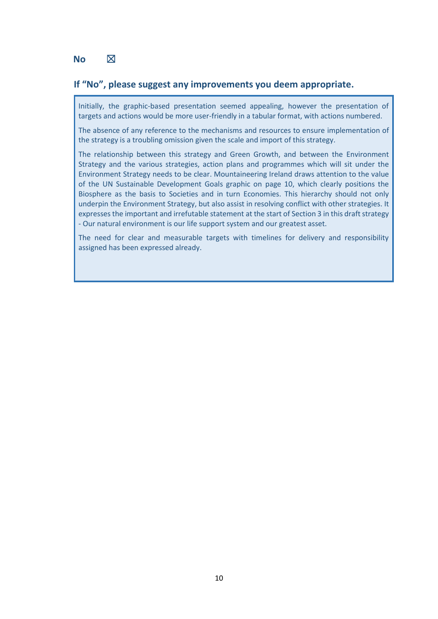## **No**  $\boxtimes$

### **If "No", please suggest any improvements you deem appropriate.**

Initially, the graphic-based presentation seemed appealing, however the presentation of targets and actions would be more user-friendly in a tabular format, with actions numbered.

The absence of any reference to the mechanisms and resources to ensure implementation of the strategy is a troubling omission given the scale and import of this strategy.

The relationship between this strategy and Green Growth, and between the Environment Strategy and the various strategies, action plans and programmes which will sit under the Environment Strategy needs to be clear. Mountaineering Ireland draws attention to the value of the UN Sustainable Development Goals graphic on page 10, which clearly positions the Biosphere as the basis to Societies and in turn Economies. This hierarchy should not only underpin the Environment Strategy, but also assist in resolving conflict with other strategies. It expresses the important and irrefutable statement at the start of Section 3 in this draft strategy - Our natural environment is our life support system and our greatest asset.

The need for clear and measurable targets with timelines for delivery and responsibility assigned has been expressed already.